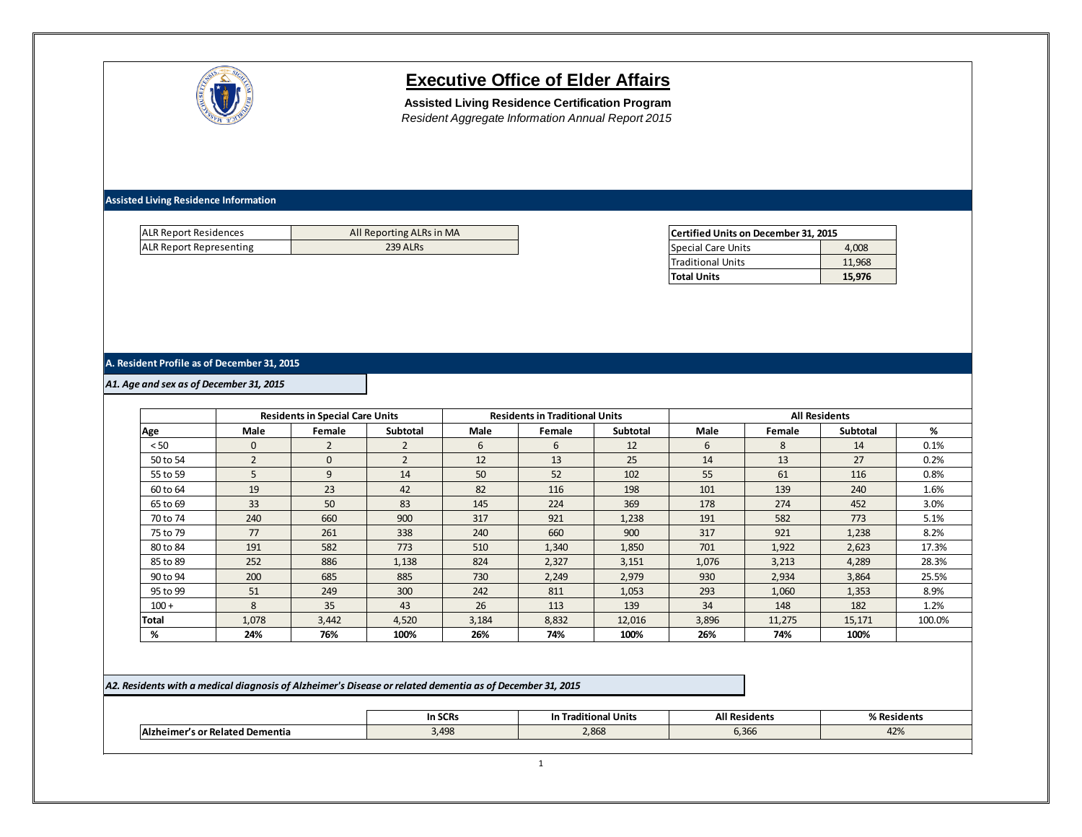

**Assisted Living Residence Certification Program** *Resident Aggregate Information Annual Report 2015*

## **Assisted Living Residence Information**

| <b>ALR Report Residences</b>   | All Reporting ALRs in MA |
|--------------------------------|--------------------------|
| <b>ALR Report Representing</b> | 239 ALRs                 |

| Certified Units on December 31, 2015 |        |  |  |  |  |
|--------------------------------------|--------|--|--|--|--|
| Special Care Units                   | 4.008  |  |  |  |  |
| Traditional Units                    | 11,968 |  |  |  |  |
| <b>Total Units</b>                   | 15.976 |  |  |  |  |

#### **A. Resident Profile as of December 31, 2015**

*A1. Age and sex as of December 31, 2015*

|          |          | <b>All Residents</b><br><b>Residents in Special Care Units</b><br><b>Residents in Traditional Units</b> |                 |       |        |                 |       |        |                 |        |
|----------|----------|---------------------------------------------------------------------------------------------------------|-----------------|-------|--------|-----------------|-------|--------|-----------------|--------|
| Age      | Male     | Female                                                                                                  | <b>Subtotal</b> | Male  | Female | <b>Subtotal</b> | Male  | Female | <b>Subtotal</b> | %      |
| < 50     | $\Omega$ | $\overline{\phantom{0}}$                                                                                |                 | 6     | 6      | 12              | 6     | 8      | 14              | 0.1%   |
| 50 to 54 | C        | $\mathbf{0}$                                                                                            |                 | 12    | 13     | 25              | 14    | 13     | 27              | 0.2%   |
| 55 to 59 | 5        | 9                                                                                                       | 14              | 50    | 52     | 102             | 55    | 61     | 116             | 0.8%   |
| 60 to 64 | 19       | 23                                                                                                      | 42              | 82    | 116    | 198             | 101   | 139    | 240             | 1.6%   |
| 65 to 69 | 33       | 50                                                                                                      | 83              | 145   | 224    | 369             | 178   | 274    | 452             | 3.0%   |
| 70 to 74 | 240      | 660                                                                                                     | 900             | 317   | 921    | 1,238           | 191   | 582    | 773             | 5.1%   |
| 75 to 79 | 77       | 261                                                                                                     | 338             | 240   | 660    | 900             | 317   | 921    | 1,238           | 8.2%   |
| 80 to 84 | 191      | 582                                                                                                     | 773             | 510   | 1,340  | 1,850           | 701   | 1,922  | 2,623           | 17.3%  |
| 85 to 89 | 252      | 886                                                                                                     | 1,138           | 824   | 2,327  | 3,151           | 1,076 | 3,213  | 4,289           | 28.3%  |
| 90 to 94 | 200      | 685                                                                                                     | 885             | 730   | 2,249  | 2,979           | 930   | 2,934  | 3,864           | 25.5%  |
| 95 to 99 | 51       | 249                                                                                                     | 300             | 242   | 811    | 1,053           | 293   | 1,060  | 1,353           | 8.9%   |
| $100 +$  | 8        | 35                                                                                                      | 43              | 26    | 113    | 139             | 34    | 148    | 182             | 1.2%   |
| Total    | 1,078    | 3.442                                                                                                   | 4,520           | 3,184 | 8,832  | 12,016          | 3,896 | 11,275 | 15,171          | 100.0% |
| %        | 24%      | 76%                                                                                                     | 100%            | 26%   | 74%    | 100%            | 26%   | 74%    | 100%            |        |

*A2. Residents with a medical diagnosis of Alzheimer's Disease or related dementia as of December 31, 2015*

|                                               | $\sim$<br>In Sv | <br>Traditional Units<br>ın | <b>All Residents</b> | % Residents            |
|-----------------------------------------------|-----------------|-----------------------------|----------------------|------------------------|
| Dementia<br>' Relateu<br>Alzho<br>eımer<br>or | AQS<br>・・ナノヒ    | 2,868                       | $-$<br><b>0,300</b>  | 120<br>42 <sub>2</sub> |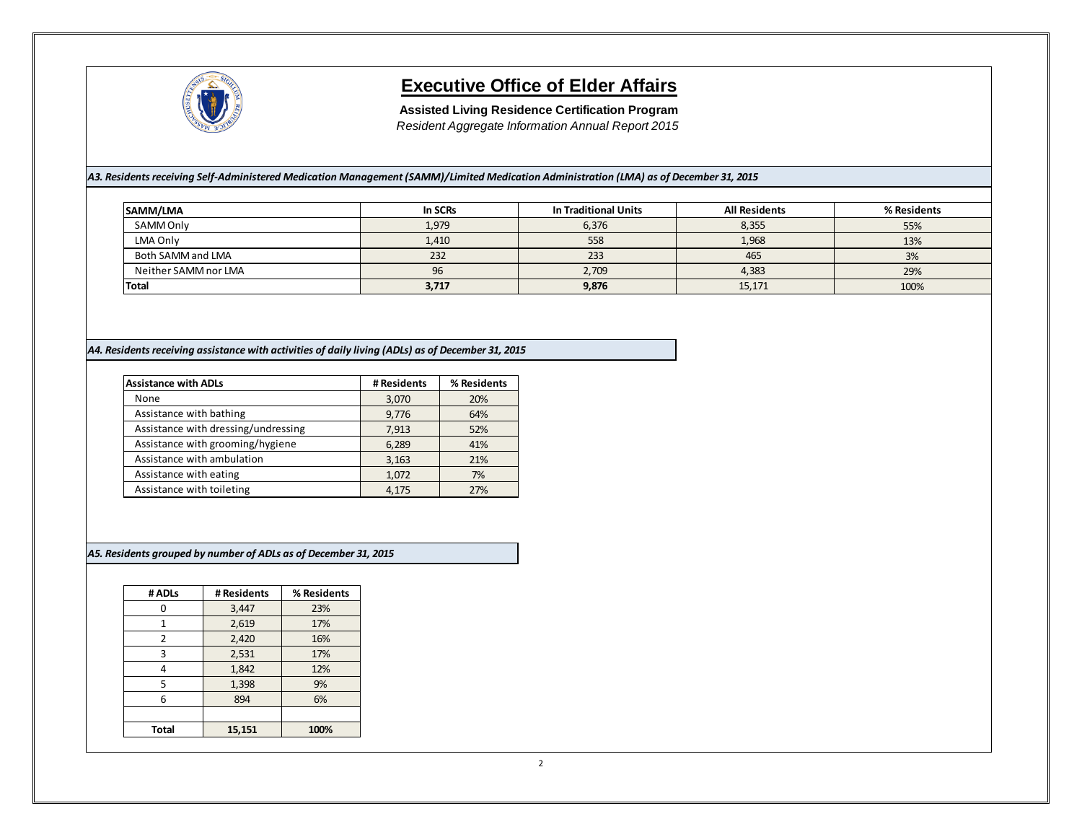

**Assisted Living Residence Certification Program** *Resident Aggregate Information Annual Report 2015*

*A3. Residents receiving Self-Administered Medication Management (SAMM)/Limited Medication Administration (LMA) as of December 31, 2015*

| SAMM/LMA             | In SCRs | <b>In Traditional Units</b> | <b>All Residents</b> | % Residents |
|----------------------|---------|-----------------------------|----------------------|-------------|
| SAMM Only            | 1,979   | 6,376                       | 8,355                | 55%         |
| LMA Only             | 1,410   | 558                         | 1,968                | 13%         |
| Both SAMM and LMA    | 232     | 233                         | 465                  | 3%          |
| Neither SAMM nor LMA | 96      | 2,709                       | 4,383                | 29%         |
| Total                | 3,717   | 9,876                       | 15,171               | 100%        |

## *A4. Residents receiving assistance with activities of daily living (ADLs) as of December 31, 2015*

| <b>Assistance with ADLs</b>         | # Residents | % Residents |
|-------------------------------------|-------------|-------------|
| None                                | 3,070       | 20%         |
| Assistance with bathing             | 9,776       | 64%         |
| Assistance with dressing/undressing | 7,913       | 52%         |
| Assistance with grooming/hygiene    | 6,289       | 41%         |
| Assistance with ambulation          | 3,163       | 21%         |
| Assistance with eating              | 1,072       | 7%          |
| Assistance with toileting           | 4,175       | 27%         |

*A5. Residents grouped by number of ADLs as of December 31, 2015*

| # ADLs       | # Residents | % Residents |
|--------------|-------------|-------------|
| በ            | 3,447       | 23%         |
| 1            | 2,619       | 17%         |
| 2            | 2,420       | 16%         |
| 3            | 2,531       | 17%         |
|              | 1,842       | 12%         |
| 5            | 1,398       | 9%          |
| 6            | 894         | 6%          |
|              |             |             |
| <b>Total</b> | 15,151      | 100%        |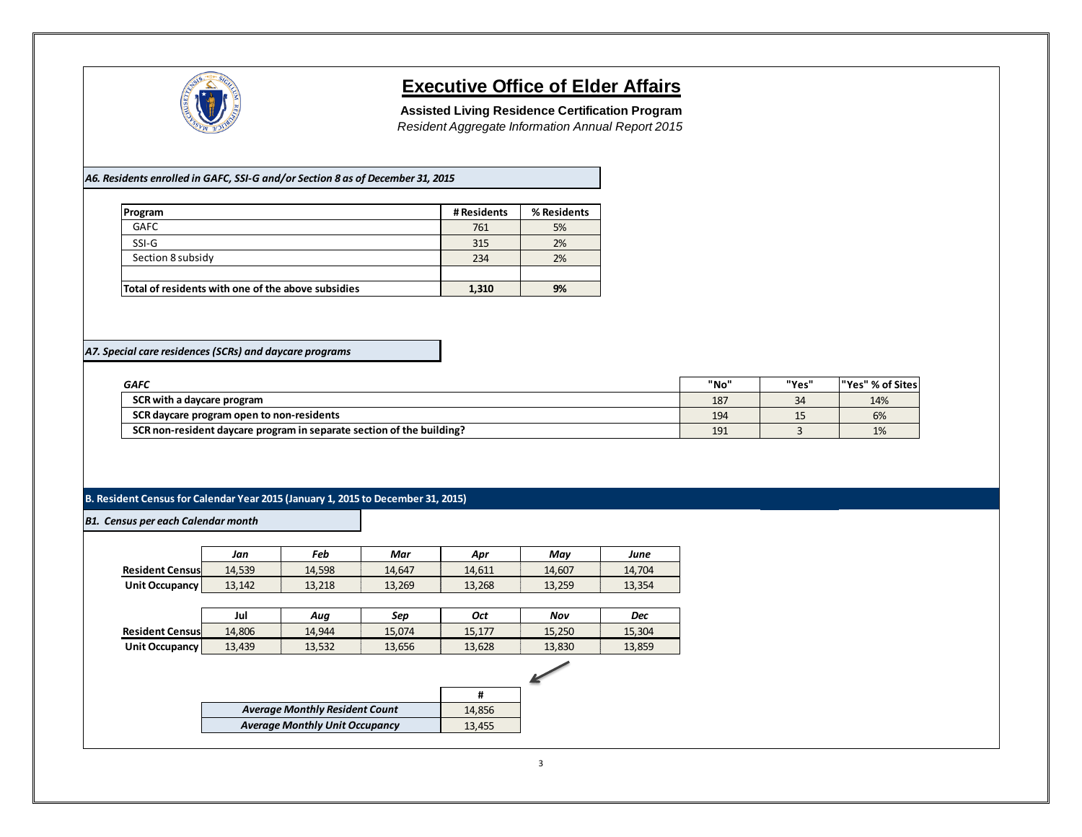

**Assisted Living Residence Certification Program** *Resident Aggregate Information Annual Report 2015*

#### *A6. Residents enrolled in GAFC, SSI-G and/or Section 8 as of December 31, 2015*

| Program                                            | # Residents | % Residents |
|----------------------------------------------------|-------------|-------------|
| GAFC                                               | 761         | 5%          |
| SSI-G                                              | 315         | 2%          |
| Section 8 subsidy                                  | 234         | 2%          |
|                                                    |             |             |
| Total of residents with one of the above subsidies | 1,310       | 9%          |

# *A7. Special care residences (SCRs) and daycare programs*

| <b>GAFC</b>                                                           | "No' | "Yes" | "Yes" % of Sites |
|-----------------------------------------------------------------------|------|-------|------------------|
| SCR with a daycare program                                            | 187  | 34    | 14%              |
| SCR daycare program open to non-residents                             | 194  | --    | 6%               |
| SCR non-resident daycare program in separate section of the building? | 191  |       | $\sim$<br>1/0    |

# **B. Resident Census for Calendar Year 2015 (January 1, 2015 to December 31, 2015)**

*B1. Census per each Calendar month*

|                        | Jan    | ™eb    | Mar    | Apr    | Mav    | June   |
|------------------------|--------|--------|--------|--------|--------|--------|
| <b>Resident Census</b> | 14.539 | 14.598 | 14.647 | 14.611 | 14.607 | 14.704 |
| Unit Occupancy         | 13.142 | 13.218 | 13.269 | 13.268 | 13.259 | 13,354 |

|                        | Jul    | Aua    | Sep    | Oct    | Nov    | Dec    |
|------------------------|--------|--------|--------|--------|--------|--------|
| <b>Resident Census</b> | 14,806 | 14.944 | 15.074 | 15,177 | 15.250 | 15,304 |
| Unit Occupancy         | 13,439 | 13,532 | 13,656 | 13,628 | 13,830 | 13,859 |

| <b>Average Monthly Resident Count</b> | 14,856 |  |
|---------------------------------------|--------|--|
| <b>Average Monthly Unit Occupancy</b> | 13.455 |  |
|                                       |        |  |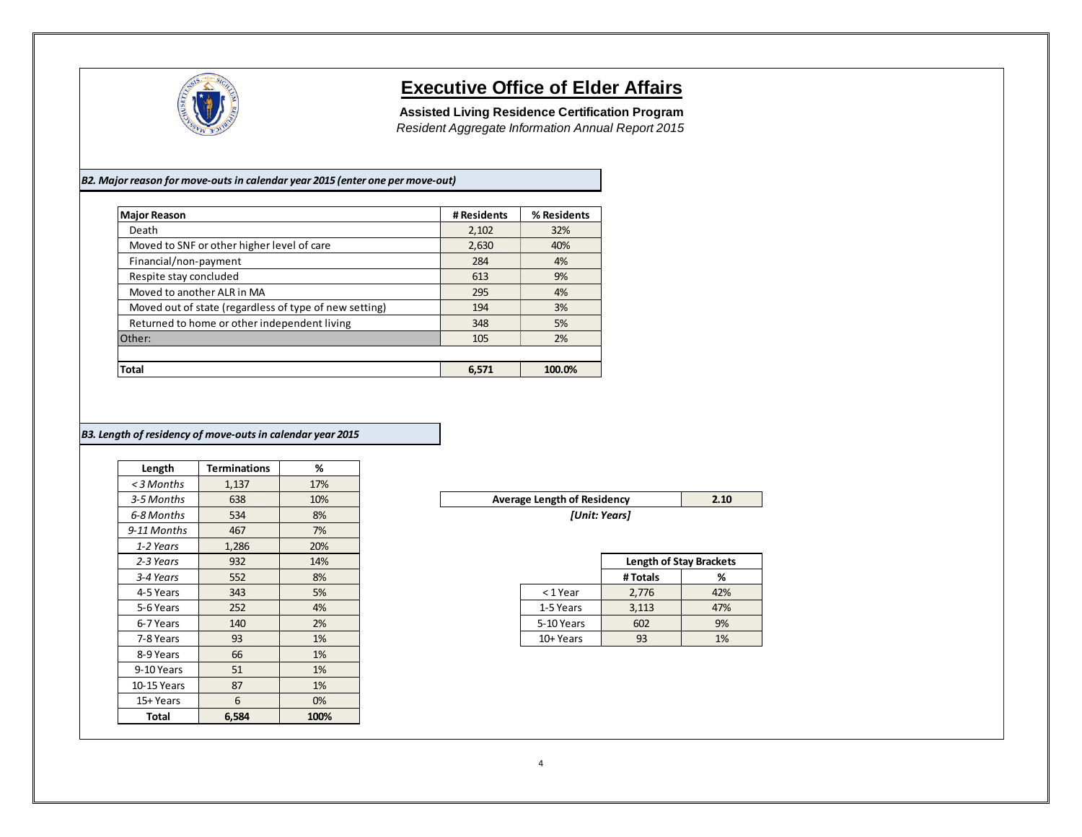

*Resident Aggregate Information Annual Report 2015* **Assisted Living Residence Certification Program**

### *B2. Major reason for move-outs in calendar year 2015 (enter one per move-out)*

| <b>Major Reason</b>                                    | # Residents | % Residents |
|--------------------------------------------------------|-------------|-------------|
| Death                                                  | 2,102       | 32%         |
| Moved to SNF or other higher level of care             | 2,630       | 40%         |
| Financial/non-payment                                  | 284         | 4%          |
| Respite stay concluded                                 | 613         | 9%          |
| Moved to another ALR in MA                             | 295         | 4%          |
| Moved out of state (regardless of type of new setting) | 194         | 3%          |
| Returned to home or other independent living           | 348         | 5%          |
| Other:                                                 | 105         | 2%          |
|                                                        |             |             |
| <b>Total</b>                                           | 6,571       | 100.0%      |

# *B3. Length of residency of move-outs in calendar year 2015*

| Length      | <b>Terminations</b> | %    |
|-------------|---------------------|------|
| <3 Months   | 1,137               | 17%  |
| 3-5 Months  | 638                 | 10%  |
| 6-8 Months  | 534                 | 8%   |
| 9-11 Months | 467                 | 7%   |
| 1-2 Years   | 1,286               | 20%  |
| 2-3 Years   | 932                 | 14%  |
| 3-4 Years   | 552                 | 8%   |
| 4-5 Years   | 343                 | 5%   |
| 5-6 Years   | 252                 | 4%   |
| 6-7 Years   | 140                 | 2%   |
| 7-8 Years   | 93                  | 1%   |
| 8-9 Years   | 66                  | 1%   |
| 9-10 Years  | 51                  | 1%   |
| 10-15 Years | 87                  | 1%   |
| 15+ Years   | 6                   | 0%   |
| Total       | 6,584               | 100% |

### 3-*5 Months* | 638 | 10% | **Average Length of Residency | 2.10** *[Unit: Years]*

|            | <b>Length of Stay Brackets</b> |     |  |  |
|------------|--------------------------------|-----|--|--|
|            | # Totals                       | %   |  |  |
| < 1 Year   | 2,776                          | 42% |  |  |
| 1-5 Years  | 3,113                          | 47% |  |  |
| 5-10 Years | 602                            | 9%  |  |  |
| 10+ Years  | 93                             | 1%  |  |  |